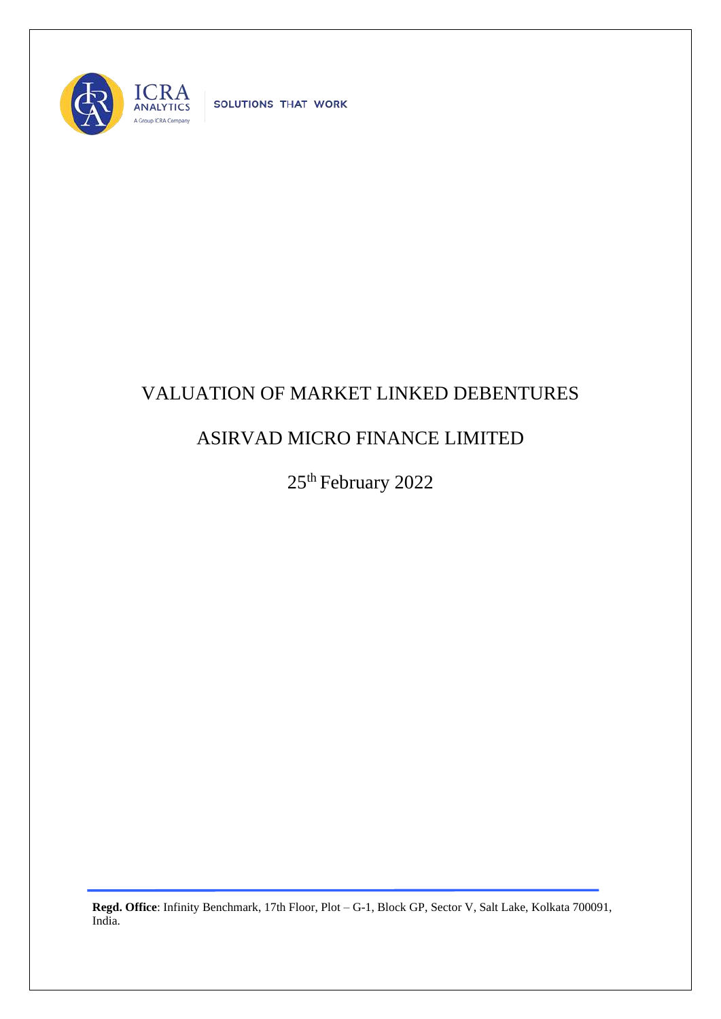

SOLUTIONS THAT WORK

## VALUATION OF MARKET LINKED DEBENTURES

## ASIRVAD MICRO FINANCE LIMITED

25<sup>th</sup> February 2022

**Regd. Office**: Infinity Benchmark, 17th Floor, Plot – G-1, Block GP, Sector V, Salt Lake, Kolkata 700091, India.